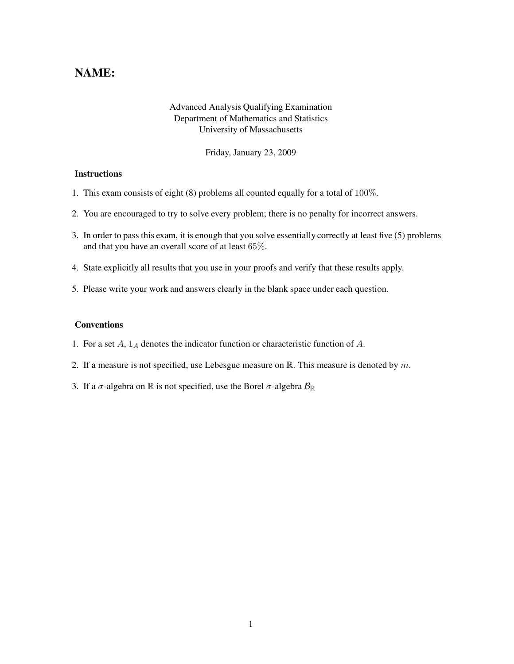## NAME:

## Advanced Analysis Qualifying Examination Department of Mathematics and Statistics University of Massachusetts

Friday, January 23, 2009

## **Instructions**

- 1. This exam consists of eight (8) problems all counted equally for a total of 100%.
- 2. You are encouraged to try to solve every problem; there is no penalty for incorrect answers.
- 3. In order to pass this exam, it is enough that you solve essentially correctly at least five (5) problems and that you have an overall score of at least 65%.
- 4. State explicitly all results that you use in your proofs and verify that these results apply.
- 5. Please write your work and answers clearly in the blank space under each question.

## Conventions

- 1. For a set  $A$ ,  $1_A$  denotes the indicator function or characteristic function of  $A$ .
- 2. If a measure is not specified, use Lebesgue measure on  $\mathbb{R}$ . This measure is denoted by m.
- 3. If a  $\sigma$ -algebra on  $\mathbb R$  is not specified, use the Borel  $\sigma$ -algebra  $\mathcal{B}_{\mathbb R}$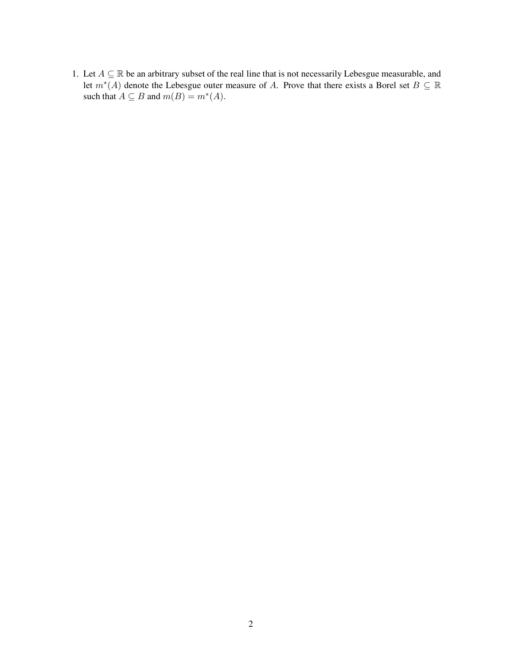1. Let  $A \subseteq \mathbb{R}$  be an arbitrary subset of the real line that is not necessarily Lebesgue measurable, and let  $m^*(A)$  denote the Lebesgue outer measure of A. Prove that there exists a Borel set  $B \subseteq \mathbb{R}$ such that  $A \subseteq B$  and  $m(B) = m^*(A)$ .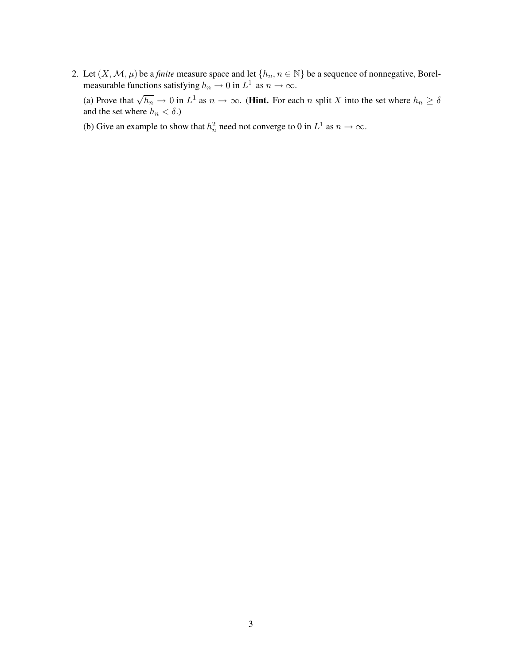2. Let  $(X, \mathcal{M}, \mu)$  be a *finite* measure space and let  $\{h_n, n \in \mathbb{N}\}\$  be a sequence of nonnegative, Borelmeasurable functions satisfying  $h_n \to 0$  in  $L^1$  as  $n \to \infty$ .

(a) Prove that  $\sqrt{h_n} \to 0$  in  $L^1$  as  $n \to \infty$ . (**Hint.** For each n split X into the set where  $h_n \ge \delta$ and the set where  $h_n < \delta$ .)

(b) Give an example to show that  $h_n^2$  $n^2$  need not converge to 0 in  $L^1$  as  $n \to \infty$ .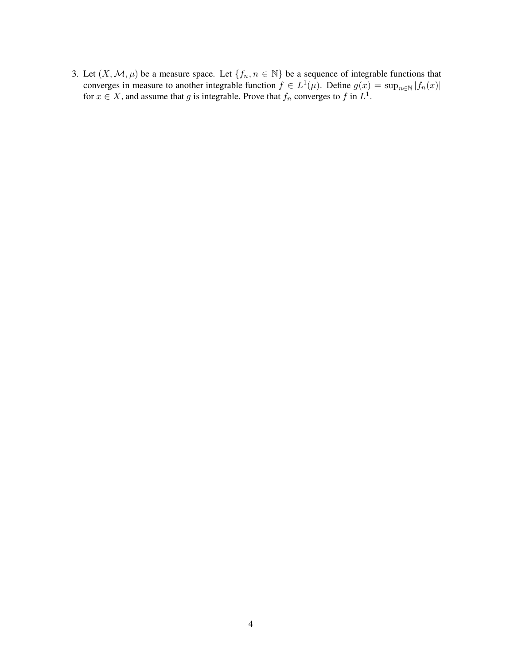3. Let  $(X, \mathcal{M}, \mu)$  be a measure space. Let  $\{f_n, n \in \mathbb{N}\}\$  be a sequence of integrable functions that converges in measure to another integrable function  $f \in L^1(\mu)$ . Define  $g(x) = \sup_{n \in \mathbb{N}} |f_n(x)|$ for  $x \in X$ , and assume that g is integrable. Prove that  $f_n$  converges to f in  $L^1$ .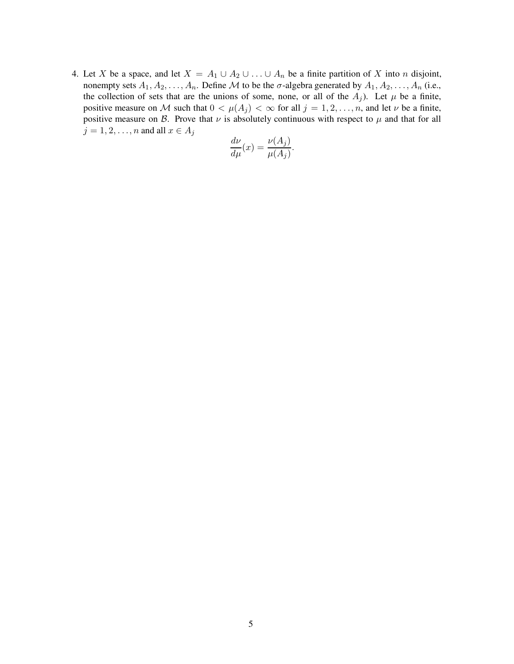4. Let X be a space, and let  $X = A_1 \cup A_2 \cup ... \cup A_n$  be a finite partition of X into n disjoint, nonempty sets  $A_1, A_2, \ldots, A_n$ . Define M to be the  $\sigma$ -algebra generated by  $A_1, A_2, \ldots, A_n$  (i.e., the collection of sets that are the unions of some, none, or all of the  $A_j$ ). Let  $\mu$  be a finite, positive measure on M such that  $0 < \mu(A_j) < \infty$  for all  $j = 1, 2, ..., n$ , and let  $\nu$  be a finite, positive measure on B. Prove that  $\nu$  is absolutely continuous with respect to  $\mu$  and that for all  $j = 1, 2, \ldots, n$  and all  $x \in A_j$ 

$$
\frac{d\nu}{d\mu}(x) = \frac{\nu(A_j)}{\mu(A_j)}.
$$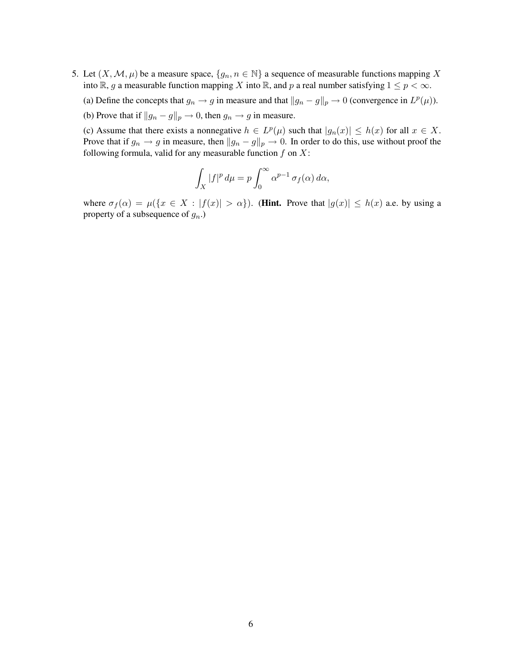- 5. Let  $(X, \mathcal{M}, \mu)$  be a measure space,  $\{g_n, n \in \mathbb{N}\}\$ a sequence of measurable functions mapping X into R, g a measurable function mapping X into R, and p a real number satisfying  $1 \le p < \infty$ .
	- (a) Define the concepts that  $g_n \to g$  in measure and that  $||g_n g||_p \to 0$  (convergence in  $L^p(\mu)$ ).
	- (b) Prove that if  $||g_n g||_p \to 0$ , then  $g_n \to g$  in measure.

(c) Assume that there exists a nonnegative  $h \in L^p(\mu)$  such that  $|g_n(x)| \le h(x)$  for all  $x \in X$ . Prove that if  $g_n \to g$  in measure, then  $||g_n - g||_p \to 0$ . In order to do this, use without proof the following formula, valid for any measurable function  $f$  on  $X$ :

$$
\int_X |f|^p \, d\mu = p \int_0^\infty \alpha^{p-1} \, \sigma_f(\alpha) \, d\alpha,
$$

where  $\sigma_f(\alpha) = \mu({x \in X : |f(x)| > \alpha})$ . (Hint. Prove that  $|g(x)| \leq h(x)$  a.e. by using a property of a subsequence of  $g_n$ .)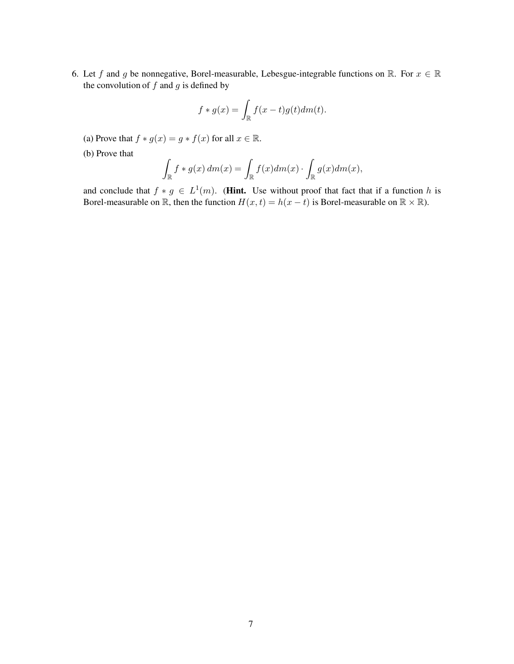6. Let f and g be nonnegative, Borel-measurable, Lebesgue-integrable functions on R. For  $x \in \mathbb{R}$ the convolution of  $f$  and  $g$  is defined by

$$
f * g(x) = \int_{\mathbb{R}} f(x - t)g(t) dm(t).
$$

- (a) Prove that  $f * g(x) = g * f(x)$  for all  $x \in \mathbb{R}$ .
- (b) Prove that

$$
\int_{\mathbb{R}} f * g(x) dm(x) = \int_{\mathbb{R}} f(x) dm(x) \cdot \int_{\mathbb{R}} g(x) dm(x),
$$

and conclude that  $f * g \in L^1(m)$ . (**Hint.** Use without proof that fact that if a function h is Borel-measurable on  $\mathbb R$ , then the function  $H(x, t) = h(x - t)$  is Borel-measurable on  $\mathbb R \times \mathbb R$ ).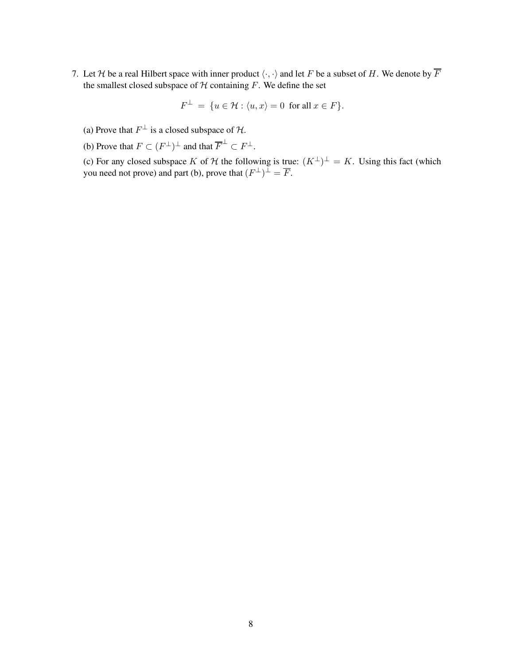7. Let H be a real Hilbert space with inner product  $\langle \cdot, \cdot \rangle$  and let F be a subset of H. We denote by  $\overline{F}$ the smallest closed subspace of  $H$  containing  $F$ . We define the set

$$
F^\perp \ = \ \{ u \in \mathcal{H} : \langle u, x \rangle = 0 \ \text{ for all } x \in F \}.
$$

- (a) Prove that  $F^{\perp}$  is a closed subspace of  $\mathcal{H}$ .
- (b) Prove that  $F \subset (F^{\perp})^{\perp}$  and that  $\overline{F}^{\perp} \subset F^{\perp}$ .

(c) For any closed subspace K of H the following is true:  $(K^{\perp})^{\perp} = K$ . Using this fact (which you need not prove) and part (b), prove that  $(F^{\perp})^{\perp} = \overline{F}$ .